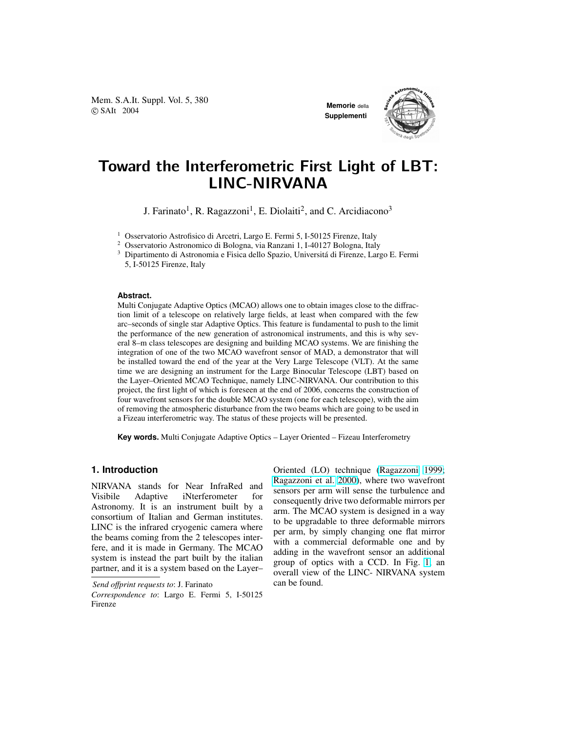Mem. S.A.It. Suppl. Vol. 5, 380 **COVERT 2004 Memorie** della **Memorie** della **Memorie** della **Memorie** della

**Supplementi**



# Toward the Interferometric First Light of LBT: LINC-NIRVANA

J. Farinato<sup>1</sup>, R. Ragazzoni<sup>1</sup>, E. Diolaiti<sup>2</sup>, and C. Arcidiacono<sup>3</sup>

<sup>1</sup> Osservatorio Astrofisico di Arcetri, Largo E. Fermi 5, I-50125 Firenze, Italy

<sup>2</sup> Osservatorio Astronomico di Bologna, via Ranzani 1, I-40127 Bologna, Italy

<sup>3</sup> Dipartimento di Astronomia e Fisica dello Spazio, Universitá di Firenze, Largo E. Fermi 5, I-50125 Firenze, Italy

#### **Abstract.**

Multi Conjugate Adaptive Optics (MCAO) allows one to obtain images close to the diffraction limit of a telescope on relatively large fields, at least when compared with the few arc–seconds of single star Adaptive Optics. This feature is fundamental to push to the limit the performance of the new generation of astronomical instruments, and this is why several 8–m class telescopes are designing and building MCAO systems. We are finishing the integration of one of the two MCAO wavefront sensor of MAD, a demonstrator that will be installed toward the end of the year at the Very Large Telescope (VLT). At the same time we are designing an instrument for the Large Binocular Telescope (LBT) based on the Layer–Oriented MCAO Technique, namely LINC-NIRVANA. Our contribution to this project, the first light of which is foreseen at the end of 2006, concerns the construction of four wavefront sensors for the double MCAO system (one for each telescope), with the aim of removing the atmospheric disturbance from the two beams which are going to be used in a Fizeau interferometric way. The status of these projects will be presented.

**Key words.** Multi Conjugate Adaptive Optics – Layer Oriented – Fizeau Interferometry

### **1. Introduction**

NIRVANA stands for Near InfraRed and Visibile Adaptive iNterferometer for Astronomy. It is an instrument built by a consortium of Italian and German institutes. LINC is the infrared cryogenic camera where the beams coming from the 2 telescopes interfere, and it is made in Germany. The MCAO system is instead the part built by the italian partner, and it is a system based on the Layer– Oriented (LO) technique [\(Ragazzoni](#page-4-0) [1999;](#page-4-0) [Ragazzoni et al.](#page-4-0) [2000\)](#page-4-0), where two wavefront sensors per arm will sense the turbulence and consequently drive two deformable mirrors per arm. The MCAO system is designed in a way to be upgradable to three deformable mirrors per arm, by simply changing one flat mirror with a commercial deformable one and by adding in the wavefront sensor an additional group of optics with a CCD. In Fig. [1,](#page-1-0) an overall view of the LINC- NIRVANA system can be found.

*Send o*ff*print requests to*: J. Farinato

*Correspondence to*: Largo E. Fermi 5, I-50125 Firenze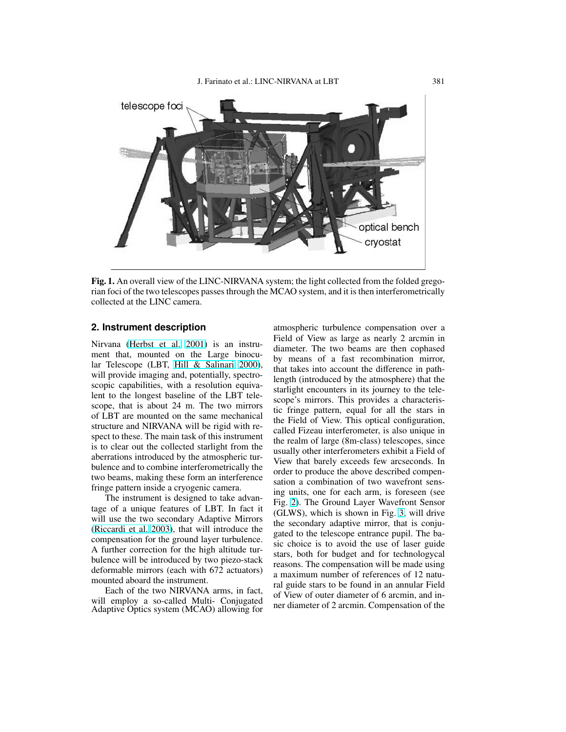<span id="page-1-0"></span>

Fig. 1. An overall view of the LINC-NIRVANA system; the light collected from the folded gregorian foci of the two telescopes passes through the MCAO system, and it is then interferometrically collected at the LINC camera.

## **2. Instrument description**

Nirvana [\(Herbst et al.](#page-4-0) [2001\)](#page-4-0) is an instrument that, mounted on the Large binocular Telescope (LBT, [Hill & Salinari](#page-4-0) [2000\)](#page-4-0), will provide imaging and, potentially, spectroscopic capabilities, with a resolution equivalent to the longest baseline of the LBT telescope, that is about 24 m. The two mirrors of LBT are mounted on the same mechanical structure and NIRVANA will be rigid with respect to these. The main task of this instrument is to clear out the collected starlight from the aberrations introduced by the atmospheric turbulence and to combine interferometrically the two beams, making these form an interference fringe pattern inside a cryogenic camera.

The instrument is designed to take advantage of a unique features of LBT. In fact it will use the two secondary Adaptive Mirrors [\(Riccardi et al.](#page-4-0) [2003\)](#page-4-0), that will introduce the compensation for the ground layer turbulence. A further correction for the high altitude turbulence will be introduced by two piezo-stack deformable mirrors (each with 672 actuators) mounted aboard the instrument.

Each of the two NIRVANA arms, in fact, will employ a so-called Multi- Conjugated Adaptive Optics system (MCAO) allowing for atmospheric turbulence compensation over a Field of View as large as nearly 2 arcmin in diameter. The two beams are then cophased by means of a fast recombination mirror, that takes into account the difference in pathlength (introduced by the atmosphere) that the starlight encounters in its journey to the telescope's mirrors. This provides a characteristic fringe pattern, equal for all the stars in the Field of View. This optical configuration, called Fizeau interferometer, is also unique in the realm of large (8m-class) telescopes, since usually other interferometers exhibit a Field of View that barely exceeds few arcseconds. In order to produce the above described compensation a combination of two wavefront sensing units, one for each arm, is foreseen (see Fig. [2\)](#page-2-0). The Ground Layer Wavefront Sensor (GLWS), which is shown in Fig. [3,](#page-3-0) will drive the secondary adaptive mirror, that is conjugated to the telescope entrance pupil. The basic choice is to avoid the use of laser guide stars, both for budget and for technologycal reasons. The compensation will be made using a maximum number of references of 12 natural guide stars to be found in an annular Field of View of outer diameter of 6 arcmin, and inner diameter of 2 arcmin. Compensation of the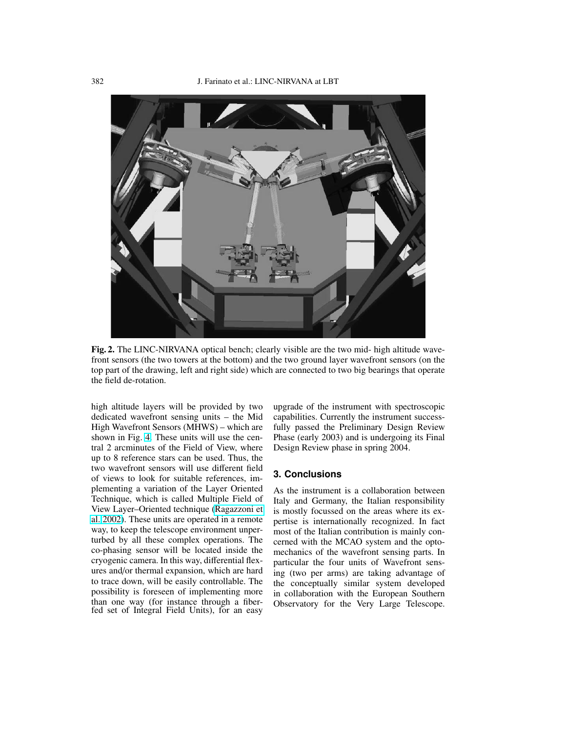<span id="page-2-0"></span>

Fig. 2. The LINC-NIRVANA optical bench; clearly visible are the two mid- high altitude wavefront sensors (the two towers at the bottom) and the two ground layer wavefront sensors (on the top part of the drawing, left and right side) which are connected to two big bearings that operate the field de-rotation.

high altitude layers will be provided by two dedicated wavefront sensing units – the Mid High Wavefront Sensors (MHWS) – which are shown in Fig. [4.](#page-3-0) These units will use the central 2 arcminutes of the Field of View, where up to 8 reference stars can be used. Thus, the two wavefront sensors will use different field of views to look for suitable references, implementing a variation of the Layer Oriented Technique, which is called Multiple Field of View Layer–Oriented technique [\(Ragazzoni et](#page-4-0) [al.](#page-4-0) [2002\)](#page-4-0). These units are operated in a remote way, to keep the telescope environment unperturbed by all these complex operations. The co-phasing sensor will be located inside the cryogenic camera. In this way, differential flexures and/or thermal expansion, which are hard to trace down, will be easily controllable. The possibility is foreseen of implementing more than one way (for instance through a fiberfed set of Integral Field Units), for an easy upgrade of the instrument with spectroscopic capabilities. Currently the instrument successfully passed the Preliminary Design Review Phase (early 2003) and is undergoing its Final Design Review phase in spring 2004.

#### **3. Conclusions**

As the instrument is a collaboration between Italy and Germany, the Italian responsibility is mostly focussed on the areas where its expertise is internationally recognized. In fact most of the Italian contribution is mainly concerned with the MCAO system and the optomechanics of the wavefront sensing parts. In particular the four units of Wavefront sensing (two per arms) are taking advantage of the conceptually similar system developed in collaboration with the European Southern Observatory for the Very Large Telescope.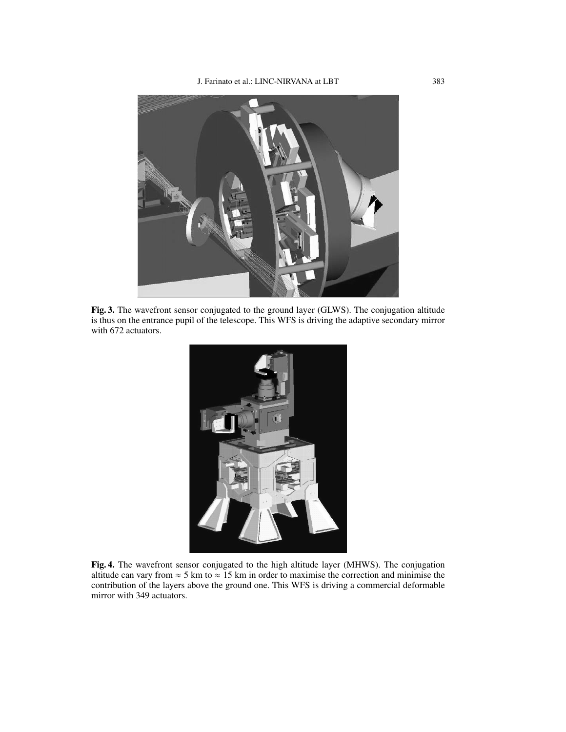<span id="page-3-0"></span>

Fig. 3. The wavefront sensor conjugated to the ground layer (GLWS). The conjugation altitude is thus on the entrance pupil of the telescope. This WFS is driving the adaptive secondary mirror with 672 actuators.



Fig. 4. The wavefront sensor conjugated to the high altitude layer (MHWS). The conjugation altitude can vary from  $\approx$  5 km to  $\approx$  15 km in order to maximise the correction and minimise the contribution of the layers above the ground one. This WFS is driving a commercial deformable mirror with 349 actuators.